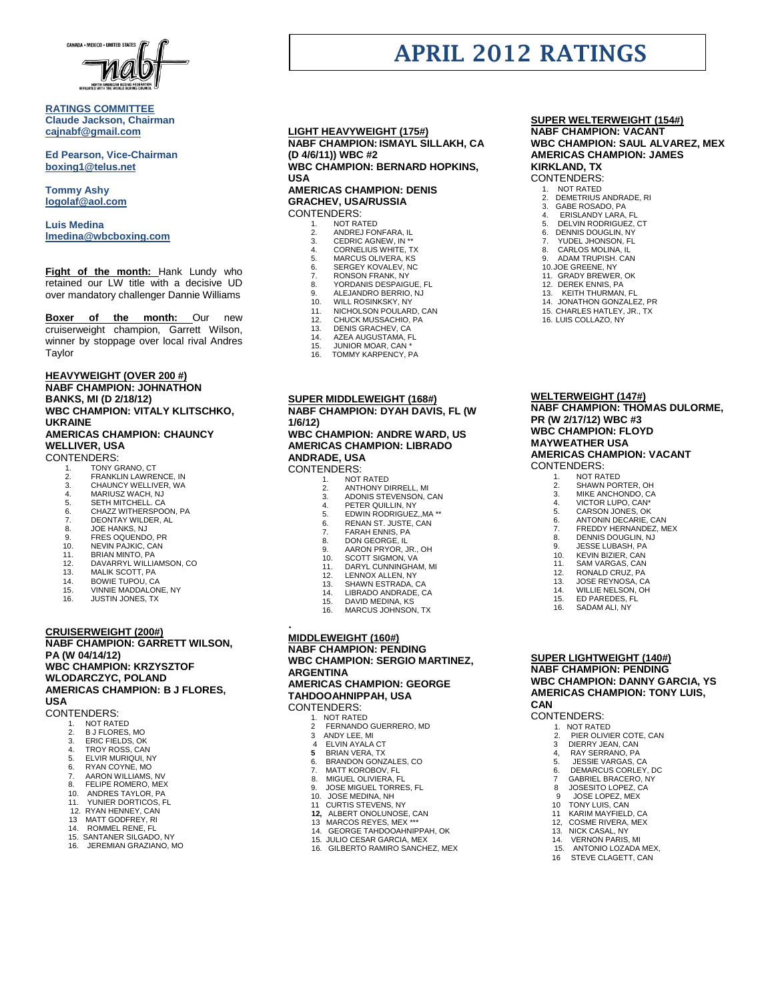

# **RATINGS COMMITTEE Claude Jackson, Chairman [cajnabf@gmail.com](mailto:cajnabf@gmail.com)**

**Ed Pearson, Vice-Chairman boxing1@telus.net**

**Tommy Ashy [logolaf@aol.com](mailto:logolaf@aol.com)**

**Luis Medina [lmedina@wbcboxing.com](mailto:lmedina@wbcboxing.com)**

**Fight of the month:** Hank Lundy who retained our LW title with a decisive UD over mandatory challenger Dannie Williams

**Boxer of the month:** Our new cruiserweight champion, Garrett Wilson, winner by stoppage over local rival Andres Taylor

#### **HEAVYWEIGHT (OVER 200 #) NABF CHAMPION: JOHNATHON BANKS, MI (D 2/18/12) WBC CHAMPION: VITALY KLITSCHKO, UKRAINE AMERICAS CHAMPION: CHAUNCY WELLIVER, USA**

CONTENDERS:

- 1. TONY GRANO, CT<br>2. FRANKLIN LAWRE
- 2. FRANKLIN LAWRENCE, IN 3. CHAUNCY WELLIVER, WA
- 
- 4. MARIUSZ WACH, NJ<br>5. SETH MITCHELL CA
- 5. SETH MITCHELL. CA<br>6. CHAZZ WITHERSPO
- 6. CHAZZ WITHERSPOON, PA<br>6. CHAZZ WITHERSPOON, PA<br>7. DEONTAY WILDER, AL
- 7. DEONTAY WILDER, AL
- 8. JOE HANKS, NJ<br>9. FRES OQUENDO 9. FRES OQUENDO, PR<br>10. NEVIN PAJKIC. CAN
- 
- 10. NEVIN PAJKIC, CAN 11. BRIAN MINTO, PA
- 12. DAVARRYL WILLIAMSON, CO.<br>13. MALIK SCOTT. PA
- MALIK SCOTT, PA
- 14. BOWIE TUPOU, CA **VINNIE MADDALONE, NY**
- 16. JUSTIN JONES, TX

# **CRUISERWEIGHT (200#)**

**NABF CHAMPION: GARRETT WILSON, PA (W 04/14/12) WBC CHAMPION: KRZYSZTOF WLODARCZYC, POLAND AMERICAS CHAMPION: B J FLORES, USA**

# CONTENDERS:<br>1. NOT RATI

- NOT RATED
- 2. B J FLORES, MO<br>3 FRIC FIFLDS OF
- 3. ERIC FIELDS, OK
- 4. TROY ROSS, CAN 5. ELVIR MURIQUI, NY
- 6. RYAN COYNE, MO
- 7. AARON WILLIAMS, NV
- 8. FELIPE ROMERO, MEX<br>10. ANDRES TAYLOR. PA
- 10. ANDRES TAYLOR, PA 11. YUNIER DORTICOS, FL
- 12. RYAN HENNEY, CAN
- 13 MATT GODFREY, RI
- 14. ROMMEL RENE, FL
- 15. SANTANER SILGADO, NY
- 16. JEREMIAN GRAZIANO, MO

# **LIGHT HEAVYWEIGHT (175#) NABF CHAMPION: ISMAYL SILLAKH, CA (D 4/6/11)) WBC #2 WBC CHAMPION: BERNARD HOPKINS, USA AMERICAS CHAMPION: DENIS**

**GRACHEV, USA/RUSSIA** CONTENDERS:

- 1. NOT RATED<br>2 ANDRE LEOL
- 2. ANDREJ FONFARA, IL<br>3. CEDRIC AGNEW, IN \*\*
- 3. CEDRIC AGNEW, IN<br>4. CORNELIUS WHITE CORNELIUS WHITE, TX
- 5. MARCUS OLIVERA, KS<br>6. SERGEY KOVALEV, NC
- 6. SERGEY KOVALEV, NC<br>7 RONSON FRANK NY
- 7. RONSON FRANK, NY 8. YORDANIS DESPAIGUE, FL
- 
- 9. ALEJANDRO BERRIO, NJ.<br>10. WILL ROSINKSKY, NY.
- 10. WILL ROSINKSKY, NY 11. NICHOLSON POULARD, CAN
- 
- 12. CHUCK MUSSACHIO, PA 13. DENIS GRACHEV, CA
- 14. AZEA AUGUSTAMA, FL<br>15. JUNIOR MOAR, CAN \*<br>16. TOMMY KARPENCY. PA
- JUNIOR MOAR, CAN \*
- TOMMY KARPENCY, PA

**SUPER MIDDLEWEIGHT (168#) NABF CHAMPION: DYAH DAVIS, FL (W 1/6/12)**

# **WBC CHAMPION: ANDRE WARD, US AMERICAS CHAMPION: LIBRADO ANDRADE, USA**

# CONTENDERS:

- 1. NOT RATED 2. ANTHONY DIRRELL, MI
- 
- 3. ADONIS STEVENSON, CAN 4. PETER QUILLIN, NY
- 
- 5. EDWIN RODRIGUEZ,, MA \*\*<br>6. RENAN ST. JUSTE, CAN 6. RENAN ST. JUSTE, CAN<br>7. FARAH ENNIS. PA
- 
- 7. FARAH ENNIS, PA<br>8. DON GEORGE, IL 8. DON GEORGE, IL<br>9. AARON PRYOR
- 9. AARON PRYOR, JR., OH
- 10. SCOTT SIGMON, VA<br>11. DARYL CUNNINGHA
- 11. DARYL CUNNINGHAM, MI<br>12. IENNOX ALLEN NY
- 12. LENNOX ALLEN, NY<br>13. SHAWN ESTRADA, (
- 13. SHAWN ESTRADA, CA<br>14. LIBRADO ANDRADE. C
- 14. LIBRADO ANDRADE, CA<br>15. DAVID MEDINA, KS
- DAVID MEDINA, KS
- MARCUS JOHNSON, TX

# **MIDDLEWEIGHT (160#)**

.

## **NABF CHAMPION: PENDING WBC CHAMPION: SERGIO MARTINEZ, ARGENTINA AMERICAS CHAMPION: GEORGE TAHDOOAHNIPPAH, USA**

CONTENDERS:

- 1. NOT RATED<br>2 FERNANDO
- 2 FERNANDO GUERRERO, MD
- 3 ANDY LEE, MI<br>4 ELVIN AYALA
- 4 ELVIN AYALA CT
- **5** BRIAN VERA, TX 6. BRANDON GONZALES, CO
- 7. MATT KOROBOV, FL<br>8. MIGUEL OLIVIERA. F
- 8. MIGUEL OLIVIERA, FL<br>9. JOSE MIGUEL TORRE 9. JOSE MIGUEL TORRES, FL<br>10 JOSE MEDINA NH
- 10. JOSE MEDINA, NH<br>11 CURTIS STEVENS.
- 11 CURTIS STEVENS, NY<br>12. ALBERT ONOLUNOSE
- **12,** ALBERT ONOLUNOSE, CAN 13 MARCOS REYES, MEX \*\*\*
- 14. GEORGE TAHDOOAHNIPPAH, OK
- 
- 15. JULIO CESAR GARCIA, MEX 16. GILBERTO RAMIRO SANCHEZ, MEX

## **SUPER WELTERWEIGHT (154#) NABF CHAMPION: VACANT WBC CHAMPION: SAUL ALVAREZ, MEX**

**AMERICAS CHAMPION: JAMES KIRKLAND, TX** CONTENDERS:

**APRIL 2012 RATINGS**

- 1. NOT RATED<br>2. DEMETRIUS
- 2. DEMETRIUS ANDRADE, RI<br>3. GABE ROSADO, PA 3. GABE ROSADO, PA<br>4. ERISLANDY LARA.
- 4. ERISLANDY LARA, FL<br>5. DELVIN RODRIGUEZ.
- 5. DELVIN RODRIGUEZ, CT
- 6. DENNIS DOUGLIN, NY
- **7. YUDEL JHONSON, FL<br>8. CARLOS MOLINA. IL** CARLOS MOLINA, IL
- 9. ADAM TRUPISH. CAN
- 10.JOE GREENE, NY 11. GRADY BREWER, OK 12. DEREK ENNIS, PA

13. KEITH THURMAN, FL 14. JONATHON GONZALEZ, PR 15. CHARLES HATLEY, JR., TX 16. LUIS COLLAZO, NY

**WELTERWEIGHT (147#)**

**PR (W 2/17/12) WBC #3 WBC CHAMPION: FLOYD MAYWEATHER USA**

CONTENDERS: 1. NOT RATED<br>2 SHAWN POR 2. SHAWN PORTER, OH<br>3. MIKE ANCHONDO, CA 3. MIKE ANCHONDO, CA 4. VICTOR LUPO, CAN\* 5. CARSON JONES, OK<br>6. ANTONIN DECARIE, 6. ANTONIN DECARIE, CAN<br>7 FREDDY HERNANDEZ M 7. FREDDY HERNANDEZ, MEX<br>8. DENNIS DOUGLIN, NJ 8. DENNIS DOUGLIN, NJ<br>9. JESSE LUBASH. PA JESSE LUBASH, PA 10. KEVIN BIZIER, CAN<br>11. SAM VARGAS, CAN 11. SAM VARGAS, CAN<br>12 RONALD CRUZ PA 12. RONALD CRUZ, PA<br>13. JOSE REYNOSA. C. 13. JOSE REYNOSA, CA<br>14. WILLIE NELSON, OH WILLIE NELSON, OH 14. WILLIE NELSON,<br>15. ED PAREDES, FL<br>16. SADAM ALI. NY SADAM ALI, NY

**NABF CHAMPION: THOMAS DULORME,** 

**AMERICAS CHAMPION: VACANT**

**SUPER LIGHTWEIGHT (140#) NABF CHAMPION: PENDING**

> 2. PIER OLIVIER COTE, CAN<br>3 DIERRY JEAN. CAN 3 DIERRY JEAN, CAN 4, RAY SERRANO, PA<br>5. JESSIE VARGAS. C 5. JESSIE VARGAS, CA 6. DEMARCUS CORLEY, DC<br>7. GABRIEL BRACERO NY 7 GABRIEL BRACERO, NY<br>8 JOSESITO LOPEZ. CA 8 JOSESITO LOPEZ, CA 9 JOSE LOPEZ, MEX<br>10 TONY LUIS, CAN TONY LUIS, CAN 11 KARIM MAYFIELD, CA 12, COSME RIVERA, MEX<br>13. NICK CASAL. NY 13. NICK CASAL, NY<br>14. VERNON PARIS<br>15. ANTONIO LOZA **VERNON PARIS, MI** 15. ANTONIO LOZADA MEX,<br>16. STEVE CLAGETT, CAN STEVE CLAGETT, CAN

**CAN**

CONTENDERS:<br>1. NOT RATE 1. NOT RATED<br>2. PIER OLIVII

**WBC CHAMPION: DANNY GARCIA, YS AMERICAS CHAMPION: TONY LUIS,**